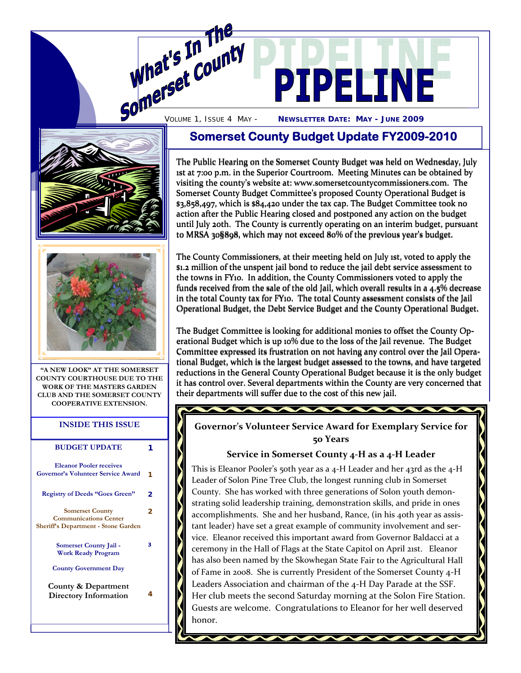





**"A NEW LOOK" AT THE SOMERSET COUNTY COURTHOUSE DUE TO THE WORK OF THE MASTERS GARDEN CLUB AND THE SOMERSET COUNTY COOPERATIVE EXTENSION.** 

#### **INSIDE THIS ISSUE**

| <b>BUDGET UPDATE</b>                                                                                 |   |
|------------------------------------------------------------------------------------------------------|---|
| <b>Eleanor Pooler receives</b><br><b>Governor's Volunteer Service Award</b>                          | 1 |
| <b>Registry of Deeds "Goes Green"</b>                                                                | 2 |
| <b>Somerset County</b><br><b>Communications Center</b><br><b>Sheriff's Department - Stone Garden</b> | 2 |
| Somerset County Jail -<br><b>Work Ready Program</b>                                                  | 3 |
| <b>County Government Day</b>                                                                         |   |
| County & Department<br>Directory Information                                                         | 4 |
|                                                                                                      |   |

# **Somerset County Budget Update FY2009-2010**

The Public Hearing on the Somerset County Budget was held on Wednesday, July The Public Hearing on the Somerset County Budget was held on Wednesday, July<br>1st at 7:00 p.m. in the Superior Courtroom. Meeting Minutes can be obtained by visiting the county's website at: www.somersetcountycommissioners.com. The Somerset County Budget Committee's proposed County Operational Budget is Somerset County Budget Committee's proposed County Operational Budget is \$3,858,497, which is \$84,420 under the tax cap. The Budget Committee took no action after the Public Hearing closed and postponed any action on the budget \$3,858,497, which is \$84,420 under the tax cap. The Budget Committee took no<br>action after the Public Hearing closed and postponed any action on the budget<br>until July 20th. The County is currently operating on an interim bu to MRSA 30§898, which may not exceed 80% of the previous year's budget.

The County Commissioners, at their meeting held on July 1st, voted to apply the The County Commissioners, at their meeting held \$1.2 million of the unspent jail bond to reduce the jail debt service assessment to the towns in FY10. In addition, the County Commissioners voted to apply the \$1.2 million of the unspent jail bond to reduce the jail debt service assessment to<br>the towns in FY10. In addition, the County Commissioners voted to apply the<br>funds received from the sale of the old Jail, which overall r in the total County tax for FY10. The total County assessment consists of the Jail Operational Budget, the Debt Service Budget and the County Operational Budget. Operational Budget, the Debt Service Budget and the County Operational Budget.

The Budget Committee is looking for additional monies to offset the County Operational Budget which is up 10% due to the loss of the Jail revenue. The Budget erational Budget which is up 10% due to the loss of the Jail revenue. The Budget<br>Committee expressed its frustration on not having any control over the Jail Operational Budget, which is the largest budget assessed to the towns, and have targeted reductions in the General County Operational Budget because it is the only budget reductions in the General County Operational Budget because it is the only budget it has control over. Several departments within the County are very concerned that<br>their departments will suffer due to the cost of this new jail. their departments will suffer due to the cost of this new jail.

**Governor's Volunteer Service Award for Exemplary Service for 50 Years** 

**TAXABLE INCOME.** 

### **Service in Somerset County 4‐H as a 4‐H Leader**

This is Eleanor Pooler's 50th year as a 4-H Leader and her 43rd as the 4-H Leader of Solon Pine Tree Club, the longest running club in Somerset County. She has worked with three generations of Solon youth demon‐ strating solid leadership training, demonstration skills, and pride in ones accomplishments. She and her husband, Rance, (in his 40th year as assistant leader) have set a great example of community involvement and service. Eleanor received this important award from Governor Baldacci at a ceremony in the Hall of Flags at the State Capitol on April 21st. Eleanor has also been named by the Skowhegan State Fair to the Agricultural Hall of Fame in 2008. She is currently President of the Somerset County 4‐H Leaders Association and chairman of the 4‐H Day Parade at the SSF. Her club meets the second Saturday morning at the Solon Fire Station. Guests are welcome. Congratulations to Eleanor for her well deserved honor.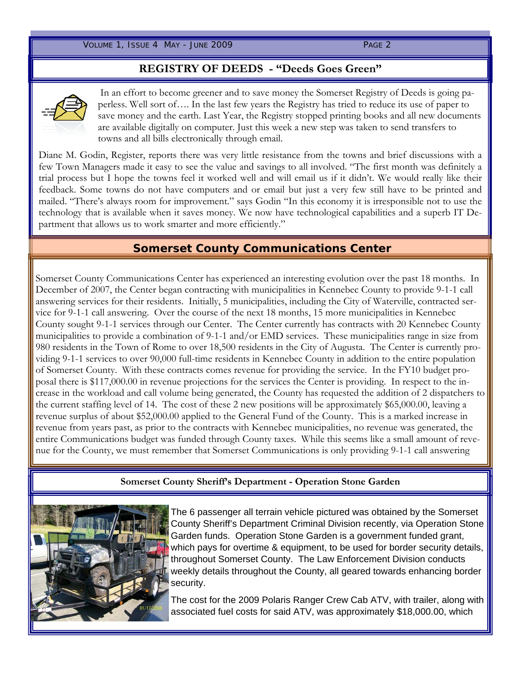VOLUME 1, ISSUE 4 MAY - JUNE 2009 PAGE 2

## **REGISTRY OF DEEDS - "Deeds Goes Green"**



In an effort to become greener and to save money the Somerset Registry of Deeds is going paperless. Well sort of…. In the last few years the Registry has tried to reduce its use of paper to save money and the earth. Last Year, the Registry stopped printing books and all new documents are available digitally on computer. Just this week a new step was taken to send transfers to towns and all bills electronically through email.

Diane M. Godin, Register, reports there was very little resistance from the towns and brief discussions with a few Town Managers made it easy to see the value and savings to all involved. "The first month was definitely a trial process but I hope the towns feel it worked well and will email us if it didn't. We would really like their feedback. Some towns do not have computers and or email but just a very few still have to be printed and mailed. "There's always room for improvement." says Godin "In this economy it is irresponsible not to use the technology that is available when it saves money. We now have technological capabilities and a superb IT Department that allows us to work smarter and more efficiently."

### **Somerset County Communications Center**

Somerset County Communications Center has experienced an interesting evolution over the past 18 months. In December of 2007, the Center began contracting with municipalities in Kennebec County to provide 9-1-1 call answering services for their residents. Initially, 5 municipalities, including the City of Waterville, contracted service for 9-1-1 call answering. Over the course of the next 18 months, 15 more municipalities in Kennebec County sought 9-1-1 services through our Center. The Center currently has contracts with 20 Kennebec County municipalities to provide a combination of 9-1-1 and/or EMD services. These municipalities range in size from 980 residents in the Town of Rome to over 18,500 residents in the City of Augusta. The Center is currently providing 9-1-1 services to over 90,000 full-time residents in Kennebec County in addition to the entire population of Somerset County. With these contracts comes revenue for providing the service. In the FY10 budget proposal there is \$117,000.00 in revenue projections for the services the Center is providing. In respect to the increase in the workload and call volume being generated, the County has requested the addition of 2 dispatchers to the current staffing level of 14. The cost of these 2 new positions will be approximately \$65,000.00, leaving a revenue surplus of about \$52,000.00 applied to the General Fund of the County. This is a marked increase in revenue from years past, as prior to the contracts with Kennebec municipalities, no revenue was generated, the entire Communications budget was funded through County taxes. While this seems like a small amount of revenue for the County, we must remember that Somerset Communications is only providing 9-1-1 call answering

### **Somerset County Sheriff's Department - Operation Stone Garden**



The 6 passenger all terrain vehicle pictured was obtained by the Somerset County Sheriff's Department Criminal Division recently, via Operation Stone Garden funds. Operation Stone Garden is a government funded grant, which pays for overtime & equipment, to be used for border security details, throughout Somerset County. The Law Enforcement Division conducts weekly details throughout the County, all geared towards enhancing border security.

The cost for the 2009 Polaris Ranger Crew Cab ATV, with trailer, along with associated fuel costs for said ATV, was approximately \$18,000.00, which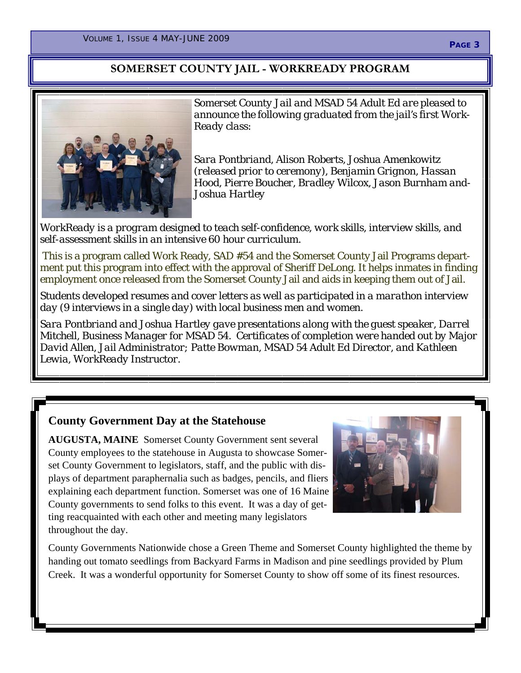# **SOMERSET COUNTY JAIL - WORKREADY PROGRAM**



*Somerset County Jail and MSAD 54 Adult Ed are pleased to announce the following graduated from the jail's first Work-Ready class:* 

*Sara Pontbriand, Alison Roberts, Joshua Amenkowitz (released prior to ceremony), Benjamin Grignon, Hassan Hood, Pierre Boucher, Bradley Wilcox, Jason Burnham and-Joshua Hartley* 

*WorkReady is a program designed to teach self-confidence, work skills, interview skills, and self-assessment skills in an intensive 60 hour curriculum.* 

This is a program called Work Ready, SAD #54 and the Somerset County Jail Programs department put this program into effect with the approval of Sheriff DeLong. It helps inmates in finding employment once released from the Somerset County Jail and aids in keeping them out of Jail.

*Students developed resumes and cover letters as well as participated in a marathon interview day (9 interviews in a single day) with local business men and women.* 

*Sara Pontbriand and Joshua Hartley gave presentations along with the guest speaker, Darrel Mitchell, Business Manager for MSAD 54. Certificates of completion were handed out by Major David Allen, Jail Administrator; Patte Bowman, MSAD 54 Adult Ed Director, and Kathleen Lewia, WorkReady Instructor.* 

# **County Government Day at the Statehouse**

**AUGUSTA, MAINE** Somerset County Government sent several County employees to the statehouse in Augusta to showcase Somerset County Government to legislators, staff, and the public with displays of department paraphernalia such as badges, pencils, and fliers explaining each department function. Somerset was one of 16 Maine County governments to send folks to this event. It was a day of getting reacquainted with each other and meeting many legislators throughout the day.



County Governments Nationwide chose a Green Theme and Somerset County highlighted the theme by handing out tomato seedlings from Backyard Farms in Madison and pine seedlings provided by Plum Creek. It was a wonderful opportunity for Somerset County to show off some of its finest resources.